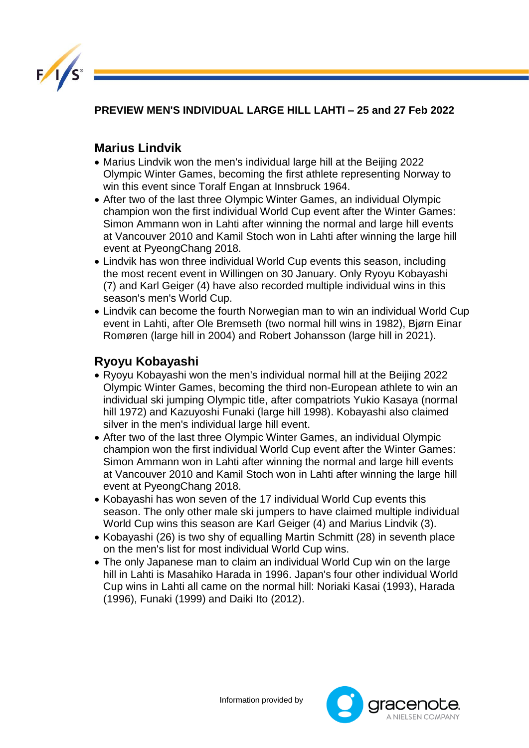

**PREVIEW MEN'S INDIVIDUAL LARGE HILL LAHTI – 25 and 27 Feb 2022** 

## **Marius Lindvik**

- Marius Lindvik won the men's individual large hill at the Beijing 2022 Olympic Winter Games, becoming the first athlete representing Norway to win this event since Toralf Engan at Innsbruck 1964.
- After two of the last three Olympic Winter Games, an individual Olympic champion won the first individual World Cup event after the Winter Games: Simon Ammann won in Lahti after winning the normal and large hill events at Vancouver 2010 and Kamil Stoch won in Lahti after winning the large hill event at PyeongChang 2018.
- Lindvik has won three individual World Cup events this season, including the most recent event in Willingen on 30 January. Only Ryoyu Kobayashi (7) and Karl Geiger (4) have also recorded multiple individual wins in this season's men's World Cup.
- Lindvik can become the fourth Norwegian man to win an individual World Cup event in Lahti, after Ole Bremseth (two normal hill wins in 1982), Bjørn Einar Romøren (large hill in 2004) and Robert Johansson (large hill in 2021).

## **Ryoyu Kobayashi**

- Ryoyu Kobayashi won the men's individual normal hill at the Beijing 2022 Olympic Winter Games, becoming the third non-European athlete to win an individual ski jumping Olympic title, after compatriots Yukio Kasaya (normal hill 1972) and Kazuyoshi Funaki (large hill 1998). Kobayashi also claimed silver in the men's individual large hill event.
- After two of the last three Olympic Winter Games, an individual Olympic champion won the first individual World Cup event after the Winter Games: Simon Ammann won in Lahti after winning the normal and large hill events at Vancouver 2010 and Kamil Stoch won in Lahti after winning the large hill event at PyeongChang 2018.
- Kobayashi has won seven of the 17 individual World Cup events this season. The only other male ski jumpers to have claimed multiple individual World Cup wins this season are Karl Geiger (4) and Marius Lindvik (3).
- Kobayashi (26) is two shy of equalling Martin Schmitt (28) in seventh place on the men's list for most individual World Cup wins.
- The only Japanese man to claim an individual World Cup win on the large hill in Lahti is Masahiko Harada in 1996. Japan's four other individual World Cup wins in Lahti all came on the normal hill: Noriaki Kasai (1993), Harada (1996), Funaki (1999) and Daiki Ito (2012).

Information provided by

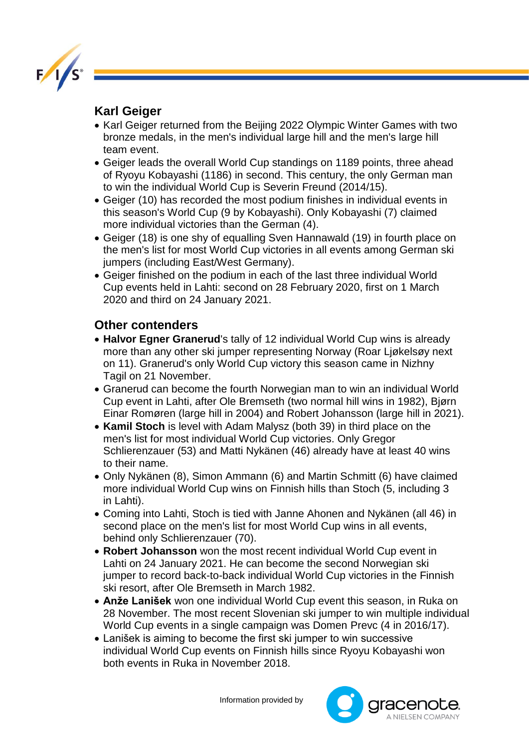

## **Karl Geiger**

- Karl Geiger returned from the Beijing 2022 Olympic Winter Games with two bronze medals, in the men's individual large hill and the men's large hill team event.
- Geiger leads the overall World Cup standings on 1189 points, three ahead of Ryoyu Kobayashi (1186) in second. This century, the only German man to win the individual World Cup is Severin Freund (2014/15).
- Geiger (10) has recorded the most podium finishes in individual events in this season's World Cup (9 by Kobayashi). Only Kobayashi (7) claimed more individual victories than the German (4).
- Geiger (18) is one shy of equalling Sven Hannawald (19) in fourth place on the men's list for most World Cup victories in all events among German ski jumpers (including East/West Germany).
- Geiger finished on the podium in each of the last three individual World Cup events held in Lahti: second on 28 February 2020, first on 1 March 2020 and third on 24 January 2021.

## **Other contenders**

- **Halvor Egner Granerud**'s tally of 12 individual World Cup wins is already more than any other ski jumper representing Norway (Roar Ljøkelsøy next on 11). Granerud's only World Cup victory this season came in Nizhny Tagil on 21 November.
- Granerud can become the fourth Norwegian man to win an individual World Cup event in Lahti, after Ole Bremseth (two normal hill wins in 1982), Bjørn Einar Romøren (large hill in 2004) and Robert Johansson (large hill in 2021).
- **Kamil Stoch** is level with Adam Malysz (both 39) in third place on the men's list for most individual World Cup victories. Only Gregor Schlierenzauer (53) and Matti Nykänen (46) already have at least 40 wins to their name.
- Only Nykänen (8), Simon Ammann (6) and Martin Schmitt (6) have claimed more individual World Cup wins on Finnish hills than Stoch (5, including 3 in Lahti).
- Coming into Lahti, Stoch is tied with Janne Ahonen and Nykänen (all 46) in second place on the men's list for most World Cup wins in all events, behind only Schlierenzauer (70).
- **Robert Johansson** won the most recent individual World Cup event in Lahti on 24 January 2021. He can become the second Norwegian ski jumper to record back-to-back individual World Cup victories in the Finnish ski resort, after Ole Bremseth in March 1982.
- **Anže Lanišek** won one individual World Cup event this season, in Ruka on 28 November. The most recent Slovenian ski jumper to win multiple individual World Cup events in a single campaign was Domen Prevc (4 in 2016/17).
- Lanišek is aiming to become the first ski jumper to win successive individual World Cup events on Finnish hills since Ryoyu Kobayashi won both events in Ruka in November 2018.

Information provided by